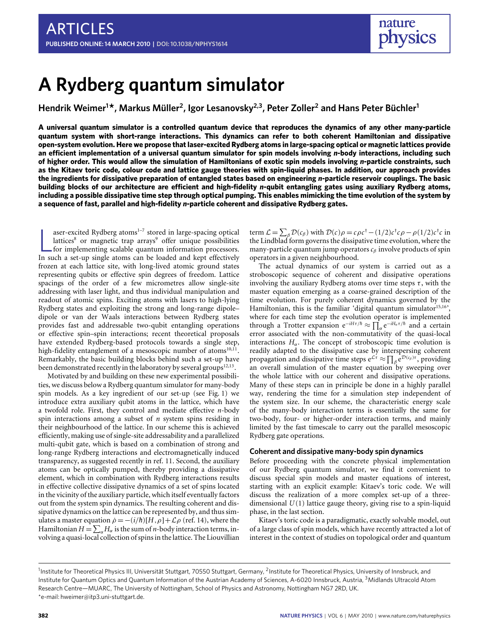# **A Rydberg quantum simulator**

**Hendrik Weimer<sup>1</sup> \*, Markus Müller<sup>2</sup> , Igor Lesanovsky2,3, Peter Zoller<sup>2</sup> and Hans Peter Büchler<sup>1</sup>**

**A universal quantum simulator is a controlled quantum device that reproduces the dynamics of any other many-particle quantum system with short-range interactions. This dynamics can refer to both coherent Hamiltonian and dissipative open-system evolution. Here we propose that laser-excited Rydberg atoms in large-spacing optical or magnetic lattices provide an efficient implementation of a universal quantum simulator for spin models involving** *n***-body interactions, including such of higher order. This would allow the simulation of Hamiltonians of exotic spin models involving** *n***-particle constraints, such as the Kitaev toric code, colour code and lattice gauge theories with spin-liquid phases. In addition, our approach provides the ingredients for dissipative preparation of entangled states based on engineering** *n***-particle reservoir couplings. The basic building blocks of our architecture are efficient and high-fidelity** *n***-qubit entangling gates using auxiliary Rydberg atoms, including a possible dissipative time step through optical pumping. This enables mimicking the time evolution of the system by a sequence of fast, parallel and high-fidelity** *n***-particle coherent and dissipative Rydberg gates.**

aser-excited Rydberg atoms<sup>1-7</sup> stored in large-spacing optical lattices<sup>8</sup> or magnetic trap arrays<sup>9</sup> offer unique possibilities for implementing scalable quantum information processors.<br>In such a set-up single atoms can aser-excited Rydberg atoms<sup>[1](#page-5-0)[–7](#page-5-1)</sup> stored in large-spacing optical lattices<sup>[8](#page-5-2)</sup> or magnetic trap arrays<sup>[9](#page-5-3)</sup> offer unique possibilities for implementing scalable quantum information processors. frozen at each lattice site, with long-lived atomic ground states representing qubits or effective spin degrees of freedom. Lattice spacings of the order of a few micrometres allow single-site addressing with laser light, and thus individual manipulation and readout of atomic spins. Exciting atoms with lasers to high-lying Rydberg states and exploiting the strong and long-range dipole– dipole or van der Waals interactions between Rydberg states provides fast and addressable two-qubit entangling operations or effective spin–spin interactions; recent theoretical proposals have extended Rydberg-based protocols towards a single step, high-fidelity entanglement of a mesoscopic number of atoms<sup>[10,](#page-5-4)[11](#page-5-5)</sup>. Remarkably, the basic building blocks behind such a set-up have been demonstrated recently in the laboratory by several groups $^{12,13}.$  $^{12,13}.$  $^{12,13}.$  $^{12,13}.$ 

Motivated by and building on these new experimental possibilities, we discuss below a Rydberg quantum simulator for many-body spin models. As a key ingredient of our set-up (see [Fig.](#page-1-0) [1\)](#page-1-0) we introduce extra auxiliary qubit atoms in the lattice, which have a twofold role. First, they control and mediate effective *n*-body spin interactions among a subset of *n* system spins residing in their neighbourhood of the lattice. In our scheme this is achieved efficiently, making use of single-site addressability and a parallelized multi-qubit gate, which is based on a combination of strong and long-range Rydberg interactions and electromagnetically induced transparency, as suggested recently in ref. [11.](#page-5-5) Second, the auxiliary atoms can be optically pumped, thereby providing a dissipative element, which in combination with Rydberg interactions results in effective collective dissipative dynamics of a set of spins located in the vicinity of the auxiliary particle, which itself eventually factors out from the system spin dynamics. The resulting coherent and dissipative dynamics on the lattice can be represented by, and thus simulates a master equation  $\dot{\rho} = -(i/\hbar)[H,\rho] + \mathcal{L}\rho$  (ref. [14\)](#page-6-2), where the Hamiltonian  $H = \sum_{\alpha} H_{\alpha}$  is the sum of *n*-body interaction terms, involving a quasi-local collection of spins in the lattice. The Liouvillian term  $\mathcal{L} = \sum_{\beta} \mathcal{D}(c_{\beta})$  with  $\mathcal{D}(c)\rho = c\rho c^{\dagger} - (1/2)c^{\dagger}c\rho - \rho(1/2)c^{\dagger}c$  in the Lindblad form governs the dissipative time evolution, where the many-particle quantum jump operators  $c_{\beta}$  involve products of spin operators in a given neighbourhood.

The actual dynamics of our system is carried out as a stroboscopic sequence of coherent and dissipative operations involving the auxiliary Rydberg atoms over time steps  $\tau$ , with the master equation emerging as a coarse-grained description of the time evolution. For purely coherent dynamics governed by the Hamiltonian, this is the familiar 'digital quantum simulator<sup>[15](#page-6-3)[,16](#page-6-4)</sup>', where for each time step the evolution operator is implemented through a Trotter expansion  $e^{-iH\tau/\hbar} \approx \prod_{\alpha} e^{-iH_{\alpha}\tau/\hbar}$  and a certain error associated with the non-commutativity of the quasi-local interactions  $H_{\alpha}$ . The concept of stroboscopic time evolution is readily adapted to the dissipative case by interspersing coherent propagation and dissipative time steps  $e^{\mathcal{L}\tau} \approx \prod_{\beta} e^{\mathcal{D}(c_{\beta})\tau}$ , providing an overall simulation of the master equation by sweeping over the whole lattice with our coherent and dissipative operations. Many of these steps can in principle be done in a highly parallel way, rendering the time for a simulation step independent of the system size. In our scheme, the characteristic energy scale of the many-body interaction terms is essentially the same for two-body, four- or higher-order interaction terms, and mainly limited by the fast timescale to carry out the parallel mesoscopic Rydberg gate operations.

### **Coherent and dissipative many-body spin dynamics**

Before proceeding with the concrete physical implementation of our Rydberg quantum simulator, we find it convenient to discuss special spin models and master equations of interest, starting with an explicit example: Kitaev's toric code. We will discuss the realization of a more complex set-up of a threedimensional *U*(1) lattice gauge theory, giving rise to a spin-liquid phase, in the last section.

Kitaev's toric code is a paradigmatic, exactly solvable model, out of a large class of spin models, which have recently attracted a lot of interest in the context of studies on topological order and quantum

<sup>&</sup>lt;sup>1</sup>Institute for Theoretical Physics III, Universität Stuttgart, 70550 Stuttgart, Germany, <sup>2</sup>Institute for Theoretical Physics, University of Innsbruck, and Institute for Quantum Optics and Quantum Information of the Austrian Academy of Sciences, A-6020 Innsbruck, Austria, <sup>3</sup>Midlands Ultracold Atom Research Centre—MUARC, The University of Nottingham, School of Physics and Astronomy, Nottingham NG7 2RD, UK. \*e-mail: [hweimer@itp3.uni-stuttgart.de.](mailto:hweimer@itp3.uni-stuttgart.de)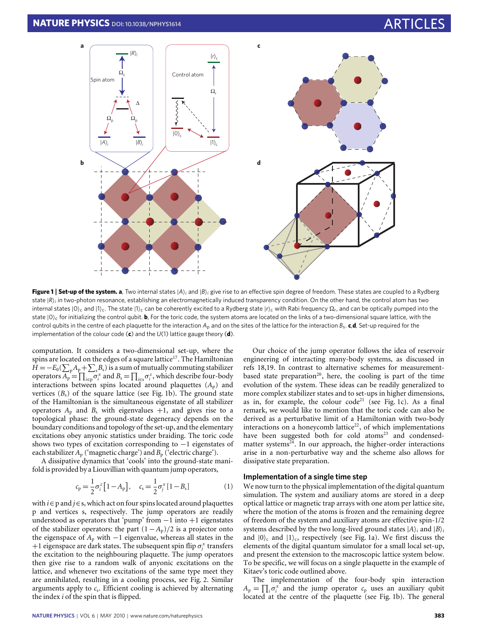

<span id="page-1-0"></span>**Figure 1** | **Set-up of the system. a**, Two internal states |*A*i*<sup>i</sup>* and |*B*i*<sup>i</sup>* give rise to an effective spin degree of freedom. These states are coupled to a Rydberg state  $\ket{\mathsf{R}}_i$  in two-photon resonance, establishing an electromagnetically induced transparency condition. On the other hand, the control atom has two internal states |0)<sub>c</sub> and |1)<sub>c</sub>. The state |1)<sub>c</sub> can be coherently excited to a Rydberg state |*r*)<sub>c</sub> with Rabi frequency  $\Omega_r$ , and can be optically pumped into the state  $|0\rangle_c$  for initializing the control qubit. **b**, For the toric code, the system atoms are located on the links of a two-dimensional square lattice, with the control qubits in the centre of each plaquette for the interaction  $A_p$  and on the sites of the lattice for the interaction  $B_s$ . **c**, **d**, Set-up required for the implementation of the colour code (**c**) and the *U*(1) lattice gauge theory (**d**).

computation. It considers a two-dimensional set-up, where the spins are located on the edges of a square lattice<sup>[17](#page-6-5)</sup>. The Hamiltonian  $H = -E_0(\sum_{p} A_p + \sum_{s} B_s)$  is a sum of mutually commuting stabilizer operators  $A_p = \prod_{i \in p} \sigma_i^x$  and  $B_s = \prod_{i \in s} \sigma_i^z$ , which describe four-body interactions between spins located around plaquettes  $(A_p)$  and vertices (*B*s) of the square lattice (see [Fig.](#page-1-0) [1b](#page-1-0)). The ground state of the Hamiltonian is the simultaneous eigenstate of all stabilizer operators  $A_p$  and  $B_s$  with eigenvalues  $+1$ , and gives rise to a topological phase: the ground-state degeneracy depends on the boundary conditions and topology of the set-up, and the elementary excitations obey anyonic statistics under braiding. The toric code shows two types of excitation corresponding to −1 eigenstates of each stabilizer *A*<sub>p</sub> ('magnetic charge') and *B*<sub>p</sub> ('electric charge').

A dissipative dynamics that 'cools' into the ground-state manifold is provided by a Liouvillian with quantum jump operators,

$$
c_{p} = \frac{1}{2}\sigma_{i}^{z}[1 - A_{p}], \quad c_{s} = \frac{1}{2}\sigma_{j}^{x}[1 - B_{s}]
$$
 (1)

with *i*∈p and *j*∈s, which act on four spins located around plaquettes p and vertices s, respectively. The jump operators are readily understood as operators that 'pump' from −1 into +1 eigenstates of the stabilizer operators: the part (1−*A*p)/2 is a projector onto the eigenspace of  $A_p$  with  $-1$  eigenvalue, whereas all states in the +1 eigenspace are dark states. The subsequent spin flip  $\sigma_j^x$  transfers the excitation to the neighbouring plaquette. The jump operators then give rise to a random walk of anyonic excitations on the lattice, and whenever two excitations of the same type meet they are annihilated, resulting in a cooling process, see [Fig.](#page-2-0) [2.](#page-2-0) Similar arguments apply to  $c_s$ . Efficient cooling is achieved by alternating the index *i* of the spin that is flipped.

Our choice of the jump operator follows the idea of reservoir engineering of interacting many-body systems, as discussed in refs [18,](#page-6-6)[19.](#page-6-7) In contrast to alternative schemes for measurement-based state preparation<sup>[20](#page-6-8)</sup>, here, the cooling is part of the time evolution of the system. These ideas can be readily generalized to more complex stabilizer states and to set-ups in higher dimensions, as in, for example, the colour  $code^{21}$  $code^{21}$  $code^{21}$  (see [Fig.](#page-1-0) [1c](#page-1-0)). As a final remark, we would like to mention that the toric code can also be derived as a perturbative limit of a Hamiltonian with two-body interactions on a honeycomb lattice<sup>[22](#page-6-10)</sup>, of which implementations have been suggested both for cold atoms<sup>[23](#page-6-11)</sup> and condensedmatter systems $24$ . In our approach, the higher-order interactions arise in a non-perturbative way and the scheme also allows for dissipative state preparation.

### <span id="page-1-1"></span>**Implementation of a single time step**

We now turn to the physical implementation of the digital quantum simulation. The system and auxiliary atoms are stored in a deep optical lattice or magnetic trap arrays with one atom per lattice site, where the motion of the atoms is frozen and the remaining degree of freedom of the system and auxiliary atoms are effective spin-1/2 systems described by the two long-lived ground states  $|A\rangle$ *<sub>i</sub>* and  $|B\rangle$ *<sub>i</sub>* and  $|0\rangle$ <sub>c</sub> and  $|1\rangle$ <sub>c</sub>, respectively (see [Fig.](#page-1-0) [1a](#page-1-0)). We first discuss the elements of the digital quantum simulator for a small local set-up, and present the extension to the macroscopic lattice system below. To be specific, we will focus on a single plaquette in the example of Kitaev's toric code outlined above.

The implementation of the four-body spin interaction  $A_p = \prod_i \sigma_i^x$  and the jump operator  $c_p$  uses an auxiliary qubit located at the centre of the plaquette (see [Fig.](#page-1-0) [1b](#page-1-0)). The general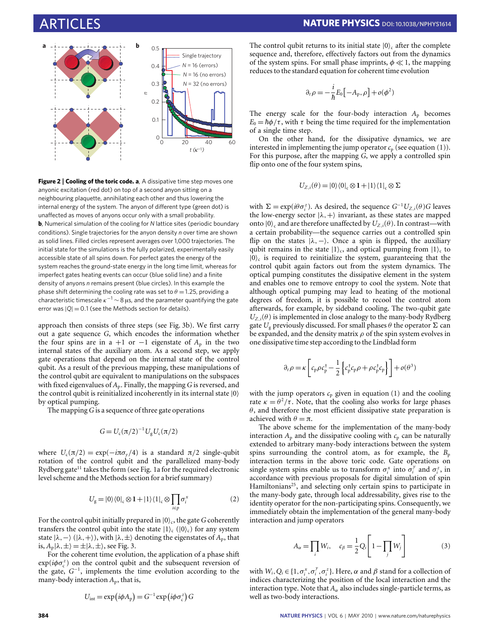

<span id="page-2-0"></span>**Figure 2** | Cooling of the toric code. a, A dissipative time step moves one anyonic excitation (red dot) on top of a second anyon sitting on a neighbouring plaquette, annihilating each other and thus lowering the internal energy of the system. The anyon of different type (green dot) is unaffected as moves of anyons occur only with a small probability. **b**, Numerical simulation of the cooling for *N* lattice sites (periodic boundary conditions). Single trajectories for the anyon density *n* over time are shown as solid lines. Filled circles represent averages over 1,000 trajectories. The initial state for the simulations is the fully polarized, experimentally easily accessible state of all spins down. For perfect gates the energy of the system reaches the ground-state energy in the long time limit, whereas for imperfect gates heating events can occur (blue solid line) and a finite density of anyons *n* remains present (blue circles). In this example the phase shift determining the cooling rate was set to  $\theta = 1.25$ , providing a characteristic timescale  $\kappa^{-1}$  ~ 8 µs, and the parameter quantifying the gate error was  $|Q| = 0.1$  (see the Methods section for details).

approach then consists of three steps (see [Fig.](#page-3-0) [3b](#page-3-0)). We first carry out a gate sequence *G*, which encodes the information whether the four spins are in a +1 or -1 eigenstate of  $A_p$  in the two internal states of the auxiliary atom. As a second step, we apply gate operations that depend on the internal state of the control qubit. As a result of the previous mapping, these manipulations of the control qubit are equivalent to manipulations on the subspaces with fixed eigenvalues of *A*p. Finally, the mapping *G* is reversed, and the control qubit is reinitialized incoherently in its internal state  $|0\rangle$ by optical pumping.

The mapping *G* is a sequence of three gate operations

$$
G = U_c (\pi/2)^{-1} U_g U_c (\pi/2)
$$

where  $U_c(\pi/2) = \exp(-i\pi\sigma_v/4)$  is a standard  $\pi/2$  single-qubit rotation of the control qubit and the parallelized many-body Rydberg gate<sup>[11](#page-5-5)</sup> takes the form (see [Fig.](#page-1-0) [1a](#page-1-0) for the required electronic level scheme and the Methods section for a brief summary)

$$
U_{\rm g} = |0\rangle\langle 0|_{\rm c} \otimes 1 + |1\rangle\langle 1|_{\rm c} \otimes \prod_{i \in p} \sigma_i^x \tag{2}
$$

For the control qubit initially prepared in  $|0\rangle_c$ , the gate *G* coherently transfers the control qubit into the state  $|1\rangle_c$  ( $|0\rangle_c$ ) for any system state  $|\lambda, -\rangle$  ( $|\lambda, +\rangle$ ), with  $|\lambda, \pm\rangle$  denoting the eigenstates of  $A_p$ , that is,  $A_p | \lambda, \pm \rangle = \pm | \lambda, \pm \rangle$ , see [Fig.](#page-3-0) [3.](#page-3-0)

For the coherent time evolution, the application of a phase shift exp(*i*φσ*<sup>z</sup>* c ) on the control qubit and the subsequent reversion of the gate, *G*<sup>−1</sup>, implements the time evolution according to the many-body interaction  $A_p$ , that is,

$$
U_{\text{int}} = \exp(i\phi A_{\text{p}}) = G^{-1} \exp(i\phi \sigma_{\text{c}}^z) G
$$

The control qubit returns to its initial state  $|0\rangle_c$  after the complete sequence and, therefore, effectively factors out from the dynamics of the system spins. For small phase imprints,  $\phi \ll 1$ , the mapping reduces to the standard equation for coherent time evolution

$$
\partial_t \rho = -\frac{i}{\hbar} E_0 \big[ -A_p, \rho \big] + o(\phi^2)
$$

The energy scale for the four-body interaction *A*<sup>p</sup> becomes  $E_0 = h\phi/\tau$ , with  $\tau$  being the time required for the implementation of a single time step.

On the other hand, for the dissipative dynamics, we are interested in implementing the jump operator  $c_p$  (see equation [\(1\)](#page-1-1)). For this purpose, after the mapping *G*, we apply a controlled spin flip onto one of the four system spins,

$$
U_{Z,i}(\theta) = |0\rangle\langle 0|_{\rm c}\otimes 1 + |1\rangle\langle 1|_{\rm c}\otimes \Sigma
$$

with  $\Sigma = \exp(i\theta \sigma_i^z)$ . As desired, the sequence  $G^{-1}U_{Z,i}(\theta)G$  leaves the low-energy sector  $|\lambda, +\rangle$  invariant, as these states are mapped onto  $|0\rangle_{\rm c}$  and are therefore unaffected by  $U_{Z,i}(\theta).$  In contrast—with a certain probability—the sequence carries out a controlled spin flip on the states  $|\lambda, -\rangle$ . Once a spin is flipped, the auxiliary qubit remains in the state  $|1\rangle_c$ , and optical pumping from  $|1\rangle_c$  to  $|0\rangle$ <sub>c</sub> is required to reinitialize the system, guaranteeing that the control qubit again factors out from the system dynamics. The optical pumping constitutes the dissipative element in the system and enables one to remove entropy to cool the system. Note that although optical pumping may lead to heating of the motional degrees of freedom, it is possible to recool the control atom afterwards, for example, by sideband cooling. The two-qubit gate  $U_{Z,i}(\theta)$  is implemented in close analogy to the many-body Rydberg gate  $U_g$  previously discussed. For small phases  $\theta$  the operator  $\Sigma$  can be expanded, and the density matrix  $\rho$  of the spin system evolves in one dissipative time step according to the Lindblad form

$$
\partial_t \rho = \kappa \left[ c_p \rho c_p^{\dagger} - \frac{1}{2} \left\{ c_p^{\dagger} c_p \rho + \rho c_p^{\dagger} c_p \right\} \right] + o(\theta^3)
$$

with the jump operators  $c_p$  given in equation [\(1\)](#page-1-1) and the cooling rate  $\kappa = \frac{\theta^2}{\tau}$ . Note, that the cooling also works for large phases  $\theta$ , and therefore the most efficient dissipative state preparation is achieved with  $\theta = \pi$ .

<span id="page-2-2"></span>The above scheme for the implementation of the many-body interaction  $A_p$  and the dissipative cooling with  $c_p$  can be naturally extended to arbitrary many-body interactions between the system spins surrounding the control atom, as for example, the  $B_p$ interaction terms in the above toric code. Gate operations on single system spins enable us to transform  $\sigma_i^x$  into  $\sigma_i^y$  and  $\sigma_i^z$ , in accordance with previous proposals for digital simulation of spin Hamiltonians<sup>[25](#page-6-13)</sup>, and selecting only certain spins to participate in the many-body gate, through local addressability, gives rise to the identity operator for the non-participating spins. Consequently, we immediately obtain the implementation of the general many-body interaction and jump operators

<span id="page-2-1"></span>
$$
A_{\alpha} = \prod_{i} W_{i}, \quad c_{\beta} = \frac{1}{2} Q_{i} \left[ 1 - \prod_{j} W_{j} \right]
$$
(3)

with *W<sub>i</sub>*, *Q<sub>i</sub>* ∈ {1,  $\sigma_i^x$ ,  $\sigma_i^y$ ,  $\sigma_i^z$ }. Here,  $\alpha$  and  $\beta$  stand for a collection of indices characterizing the position of the local interaction and the interaction type. Note that  $A_\alpha$  also includes single-particle terms, as well as two-body interactions.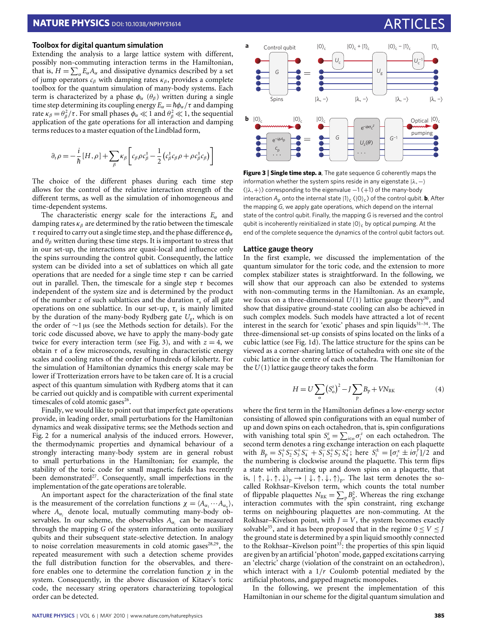### **Toolbox for digital quantum simulation**

Extending the analysis to a large lattice system with different, possibly non-commuting interaction terms in the Hamiltonian, that is,  $H = \sum_{\alpha} E_{\alpha} A_{\alpha}$  and dissipative dynamics described by a set of jump operators  $c_\beta$  with damping rates  $\kappa_\beta$ , provides a complete toolbox for the quantum simulation of many-body systems. Each term is characterized by a phase  $\phi_{\alpha}$  ( $\theta_{\beta}$ ) written during a single time step determining its coupling energy  $E_\alpha = \hbar \phi_\alpha / \tau$  and damping rate  $\kappa_{\beta} = \theta_{\beta}^2/\tau$ . For small phases  $\phi_{\alpha} \ll 1$  and  $\theta_{\beta}^2 \ll 1$ , the sequential application of the gate operations for all interaction and damping terms reduces to a master equation of the Lindblad form,

$$
\partial_t \rho = -\frac{i}{\hbar} [H, \rho] + \sum_{\beta} \kappa_{\beta} \left[ c_{\beta} \rho c_{\beta}^{\dagger} - \frac{1}{2} \left( c_{\beta}^{\dagger} c_{\beta} \rho + \rho c_{\beta}^{\dagger} c_{\beta} \right) \right]
$$

The choice of the different phases during each time step allows for the control of the relative interaction strength of the different terms, as well as the simulation of inhomogeneous and time-dependent systems.

The characteristic energy scale for the interactions *E*<sup>α</sup> and damping rates  $\kappa_{\beta}$  are determined by the ratio between the timescale  $\tau$  required to carry out a single time step, and the phase difference  $\phi_{\alpha}$ and  $\theta_{\beta}$  written during these time steps. It is important to stress that in our set-up, the interactions are quasi-local and influence only the spins surrounding the control qubit. Consequently, the lattice system can be divided into a set of sublattices on which all gate operations that are needed for a single time step  $\tau$  can be carried out in parallel. Then, the timescale for a single step  $\tau$  becomes independent of the system size and is determined by the product of the number *z* of such sublattices and the duration  $\tau_s$  of all gate operations on one sublattice. In our set-up,  $\tau_s$  is mainly limited by the duration of the many-body Rydberg gate *U*<sup>g</sup> , which is on the order of ∼1 µs (see the Methods section for details). For the toric code discussed above, we have to apply the many-body gate twice for every interaction term (see [Fig.](#page-3-0) [3\)](#page-3-0), and with  $z = 4$ , we obtain  $\tau$  of a few microseconds, resulting in characteristic energy scales and cooling rates of the order of hundreds of kilohertz. For the simulation of Hamiltonian dynamics this energy scale may be lower if Trotterization errors have to be taken care of. It is a crucial aspect of this quantum simulation with Rydberg atoms that it can be carried out quickly and is compatible with current experimental timescales of cold atomic gases<sup>[26](#page-6-14)</sup>. symptomic temperature and the form of the symptomic interaction and detection and detection and detection and the symptomic temperature and the symptomic interaction and the symptomic interaction and the symptomic inter

Finally, we would like to point out that imperfect gate operations provide, in leading order, small perturbations for the Hamiltonian dynamics and weak dissipative terms; see the Methods section and [Fig.](#page-2-0) [2](#page-2-0) for a numerical analysis of the induced errors. However, the thermodynamic properties and dynamical behaviour of a strongly interacting many-body system are in general robust to small perturbations in the Hamiltonian; for example, the stability of the toric code for small magnetic fields has recently been demonstrated<sup>[27](#page-6-15)</sup>. Consequently, small imperfections in the implementation of the gate operations are tolerable.

An important aspect for the characterization of the final state is the measurement of the correlation functions  $\chi = \langle A_{\alpha_1} \cdots A_{\alpha_n} \rangle$ , where  $A_{\alpha_i}$  denote local, mutually commuting many-body observables. In our scheme, the observables *A*<sup>α</sup>*<sup>j</sup>* can be measured through the mapping *G* of the system information onto auxiliary qubits and their subsequent state-selective detection. In analogy to noise correlation measurements in cold atomic gases $28,29$  $28,29$ , the repeated measurement with such a detection scheme provides the full distribution function for the observables, and therefore enables one to determine the correlation function  $\chi$  in the system. Consequently, in the above discussion of Kitaev's toric code, the necessary string operators characterizing topological



<span id="page-3-0"></span>**Figure 3** | **Single time step. a**, The gate sequence *G* coherently maps the information whether the system spins reside in any eigenstate  $|\lambda,-\rangle$  $(|\lambda, +\rangle)$  corresponding to the eigenvalue −1 (+1) of the many-body interaction  $A_p$  onto the internal state  $|1\rangle_c$  ( $|0\rangle_c$ ) of the control qubit. **b**, After the mapping *G*, we apply gate operations, which depend on the internal state of the control qubit. Finally, the mapping *G* is reversed and the control qubit is incoherently reinitialized in state  $|0\rangle_c$  by optical pumping. At the end of the complete sequence the dynamics of the control qubit factors out.

### **Lattice gauge theory**

In the first example, we discussed the implementation of the quantum simulator for the toric code, and the extension to more complex stabilizer states is straightforward. In the following, we will show that our approach can also be extended to systems with non-commuting terms in the Hamiltonian. As an example, we focus on a three-dimensional  $U(1)$  lattice gauge theory<sup>[30](#page-6-18)</sup>, and show that dissipative ground-state cooling can also be achieved in such complex models. Such models have attracted a lot of recent interest in the search for 'exotic' phases and spin liquids<sup>[31](#page-6-19)-34</sup>. The three-dimensional set-up consists of spins located on the links of a cubic lattice (see [Fig.](#page-1-0) [1d](#page-1-0)). The lattice structure for the spins can be viewed as a corner-sharing lattice of octahedra with one site of the cubic lattice in the centre of each octahedra. The Hamiltonian for the  $U(1)$  lattice gauge theory takes the form

<span id="page-3-1"></span>
$$
H = U \sum_{o} (S_o^z)^2 - J \sum_{p} B_p + V N_{RK}
$$
 (4)

where the first term in the Hamiltonian defines a low-energy sector consisting of allowed spin configurations with an equal number of up and down spins on each octahedron, that is, spin configurations with vanishing total spin  $S_o^z = \sum_{i \in \mathfrak{o}} \sigma_i^z$  on each octahedron. The second term denotes a ring exchange interaction on each plaquette with  $B_p = S_1^+ S_2^- S_3^+ S_4^- + S_1^- S_2^+ S_3^- S_4^+$ ; here  $S_i^{\pm} = [\sigma_i^x \pm i\sigma_i^y]/2$  and the numbering is clockwise around the plaquette. This term flips a state with alternating up and down spins on a plaquette, that is,  $| \uparrow, \downarrow, \uparrow, \downarrow \rangle_p \rightarrow | \downarrow, \uparrow, \downarrow, \uparrow \rangle_p$ . The last term denotes the socalled Rokhsar–Kivelson term, which counts the total number of flippable plaquettes  $N_{\text{RK}} = \sum_{p} B_{p}^{2}$ . Whereas the ring exchange interaction commutes with the spin constraint, ring exchange terms on neighbouring plaquettes are non-commuting. At the Rokhsar–Kivelson point, with  $J = V$ , the system becomes exactly solvable<sup>[35](#page-6-21)</sup>, and it has been proposed that in the regime  $0 \le V \le J$ the ground state is determined by a spin liquid smoothly connected to the Rokhsar–Kivelson point<sup>[33](#page-6-22)</sup>: the properties of this spin liquid are given by an artificial 'photon' mode, gapped excitations carrying an 'electric' charge (violation of the constraint on an octahedron), which interact with a 1/*r* Coulomb potential mediated by the artificial photons, and gapped magnetic monopoles.

In the following, we present the implementation of this Hamiltonian in our scheme for the digital quantum simulation and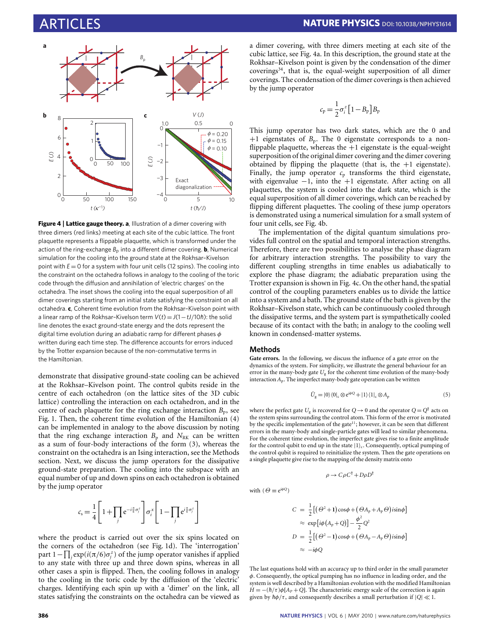

<span id="page-4-0"></span>**Figure 4** | **Lattice gauge theory. a**, Illustration of a dimer covering with three dimers (red links) meeting at each site of the cubic lattice. The front plaquette represents a flippable plaquette, which is transformed under the action of the ring-exchange  $B_p$  into a different dimer covering. **b**, Numerical simulation for the cooling into the ground state at the Rokhsar–Kivelson point with  $E = 0$  for a system with four unit cells (12 spins). The cooling into the constraint on the octahedra follows in analogy to the cooling of the toric code through the diffusion and annihilation of 'electric charges' on the octahedra. The inset shows the cooling into the equal superposition of all dimer coverings starting from an initial state satisfying the constraint on all octahedra. **c**, Coherent time evolution from the Rokhsar–Kivelson point with a linear ramp of the Rokhsar-Kivelson term  $V(t) = J(1 - tJ/10\hbar)$ : the solid line denotes the exact ground-state energy and the dots represent the digital time evolution during an adiabatic ramp for different phases  $\phi$ written during each time step. The difference accounts for errors induced by the Trotter expansion because of the non-commutative terms in the Hamiltonian.

demonstrate that dissipative ground-state cooling can be achieved at the Rokhsar–Kivelson point. The control qubits reside in the centre of each octahedron (on the lattice sites of the 3D cubic lattice) controlling the interaction on each octahedron, and in the centre of each plaquette for the ring exchange interaction  $B_p$ , see [Fig.](#page-1-0) [1.](#page-1-0) Then, the coherent time evolution of the Hamiltonian [\(4\)](#page-3-1) can be implemented in analogy to the above discussion by noting that the ring exchange interaction  $B_p$  and  $N_{RK}$  can be written as a sum of four-body interactions of the form  $(3)$ , whereas the constraint on the octahedra is an Ising interaction, see the Methods section. Next, we discuss the jump operators for the dissipative ground-state preparation. The cooling into the subspace with an equal number of up and down spins on each octahedron is obtained by the jump operator

$$
c_{\rm s} = \frac{1}{4} \left[ 1 + \prod_j e^{-i\frac{\pi}{6}\sigma_j^z} \right] \sigma_i^x \left[ 1 - \prod_j e^{i\frac{\pi}{6}\sigma_j^z} \right]
$$

where the product is carried out over the six spins located on the corners of the octahedron (see [Fig.](#page-1-0) [1d](#page-1-0)). The 'interrogation' part 1 –  $\prod_j$  exp( $i$ (π/6) $\sigma_j^z$ ) of the jump operator vanishes if applied to any state with three up and three down spins, whereas in all other cases a spin is flipped. Then, the cooling follows in analogy to the cooling in the toric code by the diffusion of the 'electric' charges. Identifying each spin up with a 'dimer' on the link, all states satisfying the constraints on the octahedra can be viewed as a dimer covering, with three dimers meeting at each site of the cubic lattice, see [Fig.](#page-4-0) [4a](#page-4-0). In this description, the ground state at the Rokhsar–Kivelson point is given by the condensation of the dimer  $coverings<sup>34</sup>$  $coverings<sup>34</sup>$  $coverings<sup>34</sup>$ , that is, the equal-weight superposition of all dimer coverings. The condensation of the dimer coverings is then achieved by the jump operator

$$
c_{\mathrm{p}} = \frac{1}{2}\sigma_i^z \left[1 - B_{\mathrm{p}}\right] B_{\mathrm{p}}
$$

This jump operator has two dark states, which are the 0 and  $+1$  eigenstates of  $B_p$ . The 0 eigenstate corresponds to a nonflippable plaquette, whereas the  $+1$  eigenstate is the equal-weight superposition of the original dimer covering and the dimer covering obtained by flipping the plaquette (that is, the  $+1$  eigenstate). Finally, the jump operator  $c_p$  transforms the third eigenstate, with eigenvalue  $-1$ , into the  $+1$  eigenstate. After acting on all plaquettes, the system is cooled into the dark state, which is the equal superposition of all dimer coverings, which can be reached by flipping different plaquettes. The cooling of these jump operators is demonstrated using a numerical simulation for a small system of four unit cells, see [Fig.](#page-4-0) [4b](#page-4-0).

The implementation of the digital quantum simulations provides full control on the spatial and temporal interaction strengths. Therefore, there are two possibilities to analyse the phase diagram for arbitrary interaction strengths. The possibility to vary the different coupling strengths in time enables us adiabatically to explore the phase diagram; the adiabatic preparation using the Trotter expansion is shown in [Fig.](#page-4-0) [4c](#page-4-0). On the other hand, the spatial control of the coupling parameters enables us to divide the lattice into a system and a bath. The ground state of the bath is given by the Rokhsar–Kivelson state, which can be continuously cooled through the dissipative terms, and the system part is sympathetically cooled because of its contact with the bath; in analogy to the cooling well known in condensed-matter systems.

### **Methods**

**Gate errors.** In the following, we discuss the influence of a gate error on the dynamics of the system. For simplicity, we illustrate the general behaviour for an error in the many-body gate *U*<sup>g</sup> for the coherent time evolution of the many-body interaction *A*p. The imperfect many-body gate operation can be written

$$
\tilde{U}_{\rm g} = |0\rangle\langle 0|_{\rm c} \otimes \mathrm{e}^{i\phi Q} + |1\rangle\langle 1|_{\rm c} \otimes A_{\rm p} \tag{5}
$$

where the perfect gate  $U_g$  is recovered for  $Q \rightarrow 0$  and the operator  $Q = Q^{\dagger}$  acts on the system spins surrounding the control atom. This form of the error is motivated by the specific implementation of the gate<sup>[11](#page-5-5)</sup>; however, it can be seen that different errors in the many-body and single-particle gates will lead to similar phenomena. For the coherent time evolution, the imperfect gate gives rise to a finite amplitude for the control qubit to end up in the state  $|1\rangle_c$ . Consequently, optical pumping of the control qubit is required to reinitialize the system. Then the gate operations on a single plaquette give rise to the mapping of the density matrix onto

$$
\rho \to C \rho C^{\dagger} + D \rho D
$$

†

with 
$$
(\Theta \equiv e^{i\phi Q})
$$

$$
C = \frac{1}{2} [(\Theta^2 + 1) \cos \phi + (\Theta A_p + A_p \Theta) i \sin \phi]
$$
  
\n
$$
\approx \exp[i\phi (A_p + Q)] - \frac{\phi^2}{2} Q^2
$$
  
\n
$$
D = \frac{1}{2} [(\Theta^2 - 1) \cos \phi + (\Theta A_p - A_p \Theta) i \sin \phi]
$$
  
\n
$$
\approx -i\phi Q
$$

The last equations hold with an accuracy up to third order in the small parameter φ. Consequently, the optical pumping has no influence in leading order, and the system is well described by a Hamiltonian evolution with the modified Hamiltonian  $H = -(\hbar/\tau)\phi[A_P + Q]$ . The characteristic energy scale of the correction is again given by  $h\phi/\tau$ , and consequently describes a small perturbation if  $|Q| \ll 1$ .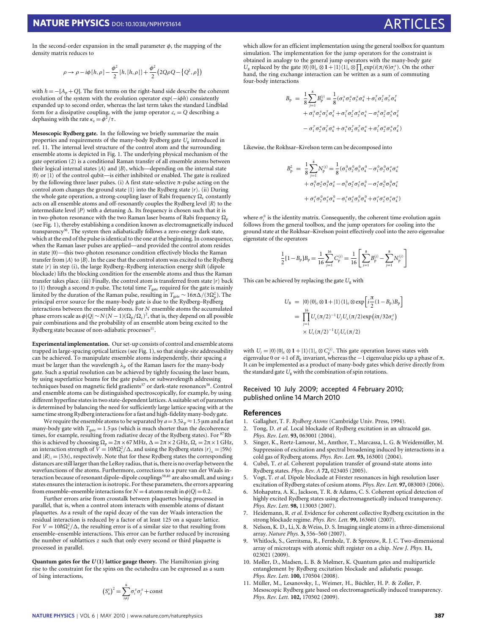In the second-order expansion in the small parameter  $\phi$ , the mapping of the density matrix reduces to

$$
\rho \to \rho - i\phi[h, \rho] - \frac{\phi^2}{2} [h, [h, \rho]] + \frac{\phi^2}{2} (2Q\rho Q - [Q^2, \rho])
$$

with  $h = -[A_p + O]$ . The first terms on the right-hand side describe the coherent evolution of the system with the evolution operator exp(−*i*φ*h*) consistently expanded up to second order, whereas the last term takes the standard Lindblad form for a dissipative coupling, with the jump operator  $c_e = Q$  describing a dephasing with the rate  $\kappa_e = \phi^2/\tau$ .

**Mesoscopic Rydberg gate.** In the following we briefly summarize the main properties and requirements of the many-body Rydberg gate *U*<sup>g</sup> introduced in ref. [11.](#page-5-5) The internal level structure of the control atom and the surrounding ensemble atoms is depicted in [Fig.](#page-1-0) [1.](#page-1-0) The underlying physical mechanism of the gate operation [\(2\)](#page-2-2) is a conditional Raman transfer of all ensemble atoms between their logical internal states  $|A\rangle$  and  $|B\rangle$ , which—depending on the internal state  $|0\rangle$  or  $|1\rangle$  of the control qubit—is either inhibited or enabled. The gate is realized by the following three laser pulses. (i) A first state-selective π-pulse acting on the control atom changes the ground state  $|1\rangle$  into the Rydberg state  $|r\rangle$ . (ii) During the whole gate operation, a strong-coupling laser of Rabi frequency  $\Omega_c$  constantly acts on all ensemble atoms and off-resonantly couples the Rydberg level  $|R\rangle$  to the intermediate level  $|P\rangle$  with a detuning  $\Delta$ . Its frequency is chosen such that it is in two-photon resonance with the two Raman laser beams of Rabi frequency  $\Omega_{p}$ (see [Fig.](#page-1-0) [1\)](#page-1-0), thereby establishing a condition known as electromagnetically induced transparency<sup>[36](#page-6-23)</sup>. The system then adiabatically follows a zero-energy dark state, which at the end of the pulse is identical to the one at the beginning. In consequence, when the Raman laser pulses are applied—and provided the control atom resides in state  $|0\rangle$ —this two-photon resonance condition effectively blocks the Raman transfer from  $|A\rangle$  to  $|B\rangle$ . In the case that the control atom was excited to the Rydberg state  $|r\rangle$  in step (i), the large Rydberg–Rydberg interaction energy shift (dipole blockade) lifts the blocking condition for the ensemble atoms and thus the Raman transfer takes place. (iii) Finally, the control atom is transferred from state  $|r\rangle$  back to |1) through a second π-pulse. The total time  $T_{\text{gate}}$  required for the gate is mainly limited by the duration of the Raman pulse, resulting in *T*<sub>gate</sub> ∼ 16π∆/(3Ω°<sub>p</sub>). The principal error source for the many-body gate is due to the Rydberg–Rydberg interactions between the ensemble atoms. For *N* ensemble atoms the accumulated phase errors scale as  $\phi |Q| \sim N(N-1) (\Omega_p/\Omega_c)^2$ , that is, they depend on all possible pair combinations and the probability of an ensemble atom being excited to the Rydberg state because of non-adiabatic processes<sup>[11](#page-5-5)</sup>.

**Experimental implementation.** Our set-up consists of control and ensemble atoms trapped in large-spacing optical lattices (see [Fig.](#page-1-0) [1\)](#page-1-0), so that single-site addressability can be achieved. To manipulate ensemble atoms independently, their spacing *a* must be larger than the wavelength  $\lambda_p$  of the Raman lasers for the many-body gate. Such a spatial resolution can be achieved by tightly focusing the laser beam, by using superlattice beams for the gate pulses, or subwavelength addressing techniques based on magnetic field gradients<sup>[37](#page-6-24)</sup> or dark-state resonances<sup>[38](#page-6-25)</sup>. Control and ensemble atoms can be distinguished spectroscopically, for example, by using different hyperfine states in two state-dependent lattices. A suitable set of parameters is determined by balancing the need for sufficiently large lattice spacing with at the same time strong Rydberg interactions for a fast and high-fidelity many-body gate.

We require the ensemble atoms to be separated by  $a = 3.5\lambda_p \approx 1.5 \,\mu$ m and a fast many-body gate with  $T_{\text{gate}} = 1.5 \,\mu s$  (which is much shorter than the decoherence times, for example, resulting from radiative decay of the Rydberg states). For <sup>87</sup>Rb this is achieved by choosing  $\Omega_p = 2\pi \times 67$  MHz,  $\Delta = 2\pi \times 2$  GHz,  $\Omega_c = 2\pi \times 1$  GHz, an interaction strength of  $V = 10\hbar\Omega_c^2/\Delta$ , and using the Rydberg states  $|r\rangle_c = |59s\rangle$ and  $|R\rangle$ <sub>*i*</sub> =  $|53s\rangle$ , respectively. Note that for these Rydberg states the corresponding distances are still larger than the LeRoy radius, that is, there is no overlap between the wavefunctions of the atoms. Furthermore, corrections to a pure van der Waals in-teraction because of resonant dipole–dipole couplings<sup>[39,](#page-6-26)[40](#page-6-27)</sup> are also small, and using *s* states ensures the interaction is isotropic. For these parameters, the errors appearing from ensemble–ensemble interactions for  $N = 4$  atoms result in  $\phi |Q| = 0.2$ .

Further errors arise from crosstalk between plaquettes being processed in parallel, that is, when a control atom interacts with ensemble atoms of distant plaquettes. As a result of the rapid decay of the van der Waals interaction the residual interaction is reduced by a factor of at least 125 on a square lattice. For  $V = 10h\Omega_c^2/\Delta$ , the resulting error is of a similar size to that resulting from ensemble–ensemble interactions. This error can be further reduced by increasing the number of sublattices *z* such that only every second or third plaquette is processed in parallel.

**Quantum gates for the** *U* **(1) lattice gauge theory.** The Hamiltonian giving rise to the constraint for the spins on the octahedra can be expressed as a sum of Ising interactions,

$$
(S_o^z)^2 = \sum_{i \neq j}^{6} \sigma_i^z \sigma_j^z + const
$$

which allow for an efficient implementation using the general toolbox for quantum simulation. The implementation for the jump operators for the constraint is obtained in analogy to the general jump operators with the many-body gate *U*<sub>g</sub> replaced by the gate  $|0\rangle\langle0|c \otimes 1 + |1\rangle\langle1|c \otimes \prod_i \exp(i(\pi/6)\sigma_i^z)$ . On the other hand, the ring exchange interaction can be written as a sum of commuting four-body interactions

$$
B_{p} = \frac{1}{8} \sum_{j=1}^{8} B_{p}^{(j)} = \frac{1}{8} (\sigma_{1}^{x} \sigma_{2}^{x} \sigma_{3}^{x} \sigma_{4}^{x} + \sigma_{1}^{y} \sigma_{2}^{y} \sigma_{3}^{y} \sigma_{4}^{y}
$$

$$
+ \sigma_{1}^{x} \sigma_{2}^{x} \sigma_{3}^{y} \sigma_{4}^{y} + \sigma_{1}^{y} \sigma_{2}^{y} \sigma_{3}^{x} \sigma_{4}^{x} - \sigma_{1}^{x} \sigma_{2}^{y} \sigma_{3}^{x} \sigma_{4}^{y}
$$

$$
- \sigma_{1}^{y} \sigma_{2}^{x} \sigma_{3}^{y} \sigma_{4}^{x} + \sigma_{1}^{x} \sigma_{2}^{y} \sigma_{3}^{y} \sigma_{4}^{x} + \sigma_{1}^{y} \sigma_{2}^{x} \sigma_{3}^{x} \sigma_{4}^{y})
$$

Likewise, the Rokhsar–Kivelson term can be decomposed into

$$
B_{\rm p}^{2} = \frac{1}{8} \sum_{j=1}^{8} N_{\rm p}^{(j)} = \frac{1}{8} (\sigma_{1}^{0} \sigma_{2}^{0} \sigma_{3}^{0} \sigma_{4}^{0} - \sigma_{1}^{0} \sigma_{2}^{0} \sigma_{3}^{z} \sigma_{4}^{z}
$$

$$
+ \sigma_{1}^{0} \sigma_{2}^{z} \sigma_{3}^{0} \sigma_{4}^{z} - \sigma_{1}^{0} \sigma_{2}^{z} \sigma_{3}^{z} \sigma_{4}^{0} - \sigma_{1}^{z} \sigma_{2}^{0} \sigma_{3}^{0} \sigma_{4}^{z}
$$

$$
+ \sigma_{1}^{z} \sigma_{2}^{0} \sigma_{3}^{z} \sigma_{4}^{0} - \sigma_{1}^{z} \sigma_{2}^{z} \sigma_{3}^{0} \sigma_{4}^{0} + \sigma_{1}^{z} \sigma_{2}^{z} \sigma_{3}^{z} \sigma_{4}^{z})
$$

where  $\sigma_i^0$  is the identity matrix. Consequently, the coherent time evolution again follows from the general toolbox, and the jump operators for cooling into the ground state at the Rokhsar–Kivelson point effectively cool into the zero eigenvalue eigenstate of the operators

$$
\frac{1}{2}[1-B_{\text{p}}]B_{\text{p}}=\frac{1}{16}\sum_{j=1}^{16}C_{\text{p}}^{(j)}=\frac{1}{16}\left[\sum_{j=1}^{8}B_{\text{p}}^{(j)}-\sum_{j=1}^{8}N_{\text{p}}^{(j)}\right]
$$

This can be achieved by replacing the gate  $U_{\rm g}$  with

$$
U_B = |0\rangle\langle 0|_{c} \otimes 1 + |1\rangle\langle 1|_{c} \otimes \exp\left[i\frac{\pi}{2}(1-B_p)B_p\right]
$$
  
= 
$$
\prod_{j=1}^{16} U_c(\pi/2)^{-1} U_j U_c(\pi/2) \exp(i\pi/32\sigma_c^z)
$$
  

$$
\times U_c(\pi/2)^{-1} U_j U_c(\pi/2)
$$

with  $U_j = |0\rangle\langle 0|c \otimes 1 + |1\rangle\langle 1|c \otimes C_p^{(j)}$ . This gate operation leaves states with eigenvalue 0 or +1 of  $B_p$  invariant, whereas the −1 eigenvalue picks up a phase of  $\pi$ . It can be implemented as a product of many-body gates which derive directly from the standard gate  $U_g$  with the combination of spin rotations.

### Received 10 July 2009; accepted 4 February 2010; published online 14 March 2010

### **References**

- <span id="page-5-0"></span>1. Gallagher, T. F. *Rydberg Atoms* (Cambridge Univ. Press, 1994).
- 2. Tong, D. *et al*. Local blockade of Rydberg excitation in an ultracold gas. *Phys. Rev. Lett.* **93,** 063001 (2004).
- 3. Singer, K., Reetz-Lamour, M., Amthor, T., Marcassa, L. G. & Weidemüller, M. Suppression of excitation and spectral broadening induced by interactions in a cold gas of Rydberg atoms. *Phys. Rev. Lett.* **93,** 163001 (2004).
- 4. Cubel, T. *et al*. Coherent population transfer of ground-state atoms into Rydberg states. *Phys. Rev. A* **72,** 023405 (2005).
- 5. Vogt, T. *et al*. Dipole blockade at Förster resonances in high resolution laser excitation of Rydberg states of cesium atoms. *Phys. Rev. Lett.* **97,** 083003 (2006).
- 6. Mohapatra, A. K., Jackson, T. R. & Adams, C. S. Coherent optical detection of highly excited Rydberg states using electromagnetically induced transparency. *Phys. Rev. Lett.* **98,** 113003 (2007).
- <span id="page-5-1"></span>7. Heidemann, R. *et al*. Evidence for coherent collective Rydberg excitation in the strong blockade regime. *Phys. Rev. Lett.* **99,** 163601 (2007).
- <span id="page-5-2"></span>8. Nelson, K. D., Li, X. & Weiss, D. S. Imaging single atoms in a three-dimensional array. *Nature Phys.* **3,** 556–560 (2007).
- <span id="page-5-3"></span>9. Whitlock, S., Gerritsma, R., Fernholz, T. & Spreeuw, R. J. C. Two-dimensional array of microtraps with atomic shift register on a chip. *New J. Phys.* **11,** 023021 (2009).
- <span id="page-5-4"></span>10. Møller, D., Madsen, L. B. & Mølmer, K. Quantum gates and multiparticle entanglement by Rydberg excitation blockade and adiabatic passage. *Phys. Rev. Lett.* **100,** 170504 (2008).
- <span id="page-5-5"></span>11. Müller, M., Lesanovsky, I., Weimer, H., Büchler, H. P. & Zoller, P. Mesoscopic Rydberg gate based on electromagnetically induced transparency. *Phys. Rev. Lett.* **102,** 170502 (2009).